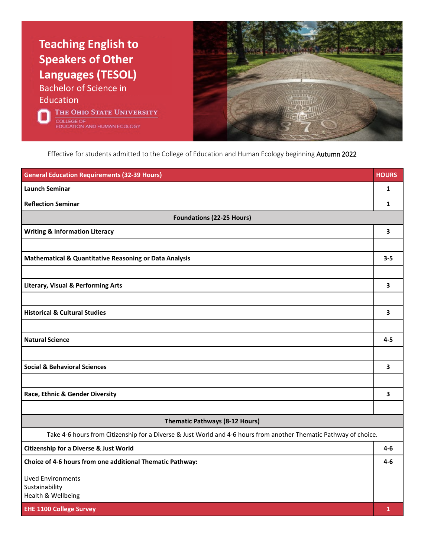

Effective for students admitted to the College of Education and Human Ecology beginning Autumn 2022

| <b>General Education Requirements (32-39 Hours)</b>                                                               | <b>HOURS</b>            |
|-------------------------------------------------------------------------------------------------------------------|-------------------------|
| <b>Launch Seminar</b>                                                                                             | $\mathbf{1}$            |
| <b>Reflection Seminar</b>                                                                                         | $\mathbf{1}$            |
| <b>Foundations (22-25 Hours)</b>                                                                                  |                         |
| <b>Writing &amp; Information Literacy</b>                                                                         | 3                       |
|                                                                                                                   |                         |
| Mathematical & Quantitative Reasoning or Data Analysis                                                            | $3 - 5$                 |
|                                                                                                                   |                         |
| <b>Literary, Visual &amp; Performing Arts</b>                                                                     | 3                       |
|                                                                                                                   |                         |
| <b>Historical &amp; Cultural Studies</b>                                                                          | 3                       |
|                                                                                                                   |                         |
| <b>Natural Science</b>                                                                                            | $4 - 5$                 |
|                                                                                                                   |                         |
| <b>Social &amp; Behavioral Sciences</b>                                                                           | $\overline{\mathbf{3}}$ |
|                                                                                                                   |                         |
| Race, Ethnic & Gender Diversity                                                                                   | 3                       |
|                                                                                                                   |                         |
| <b>Thematic Pathways (8-12 Hours)</b>                                                                             |                         |
| Take 4-6 hours from Citizenship for a Diverse & Just World and 4-6 hours from another Thematic Pathway of choice. |                         |
| <b>Citizenship for a Diverse &amp; Just World</b>                                                                 | $4-6$                   |
| Choice of 4-6 hours from one additional Thematic Pathway:                                                         | $4 - 6$                 |
| <b>Lived Environments</b>                                                                                         |                         |
| Sustainability<br>Health & Wellbeing                                                                              |                         |
| <b>EHE 1100 College Survey</b>                                                                                    | $\mathbf{1}$            |